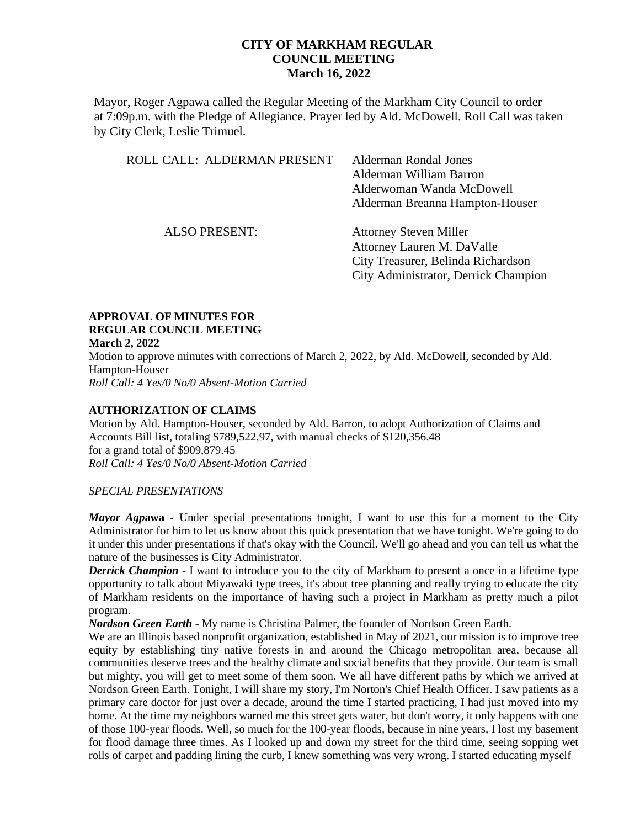Mayor, Roger Agpawa called the Regular Meeting of the Markham City Council to order at 7:09p.m. with the Pledge of Allegiance. Prayer led by Ald. McDowell. Roll Call was taken by City Clerk, Leslie Trimuel.

| ROLL CALL: ALDERMAN PRESENT | <b>Alderman Rondal Jones</b><br>Alderman William Barron<br>Alderwoman Wanda McDowell<br>Alderman Breanna Hampton-Houser                   |
|-----------------------------|-------------------------------------------------------------------------------------------------------------------------------------------|
| <b>ALSO PRESENT:</b>        | <b>Attorney Steven Miller</b><br>Attorney Lauren M. DaValle<br>City Treasurer, Belinda Richardson<br>City Administrator, Derrick Champion |

#### **APPROVAL OF MINUTES FOR REGULAR COUNCIL MEETING March 2, 2022**

Motion to approve minutes with corrections of March 2, 2022, by Ald. McDowell, seconded by Ald. Hampton-Houser *Roll Call: 4 Yes/0 No/0 Absent-Motion Carried*

### **AUTHORIZATION OF CLAIMS**

Motion by Ald. Hampton-Houser, seconded by Ald. Barron, to adopt Authorization of Claims and Accounts Bill list, totaling \$789,522,97, with manual checks of \$120,356.48 for a grand total of \$909,879.45 *Roll Call: 4 Yes/0 No/0 Absent-Motion Carried* 

### *SPECIAL PRESENTATIONS*

*Mayor Agp***awa** - Under special presentations tonight, I want to use this for a moment to the City Administrator for him to let us know about this quick presentation that we have tonight. We're going to do it under this under presentations if that's okay with the Council. We'll go ahead and you can tell us what the nature of the businesses is City Administrator.

*Derrick Champion* - I want to introduce you to the city of Markham to present a once in a lifetime type opportunity to talk about Miyawaki type trees, it's about tree planning and really trying to educate the city of Markham residents on the importance of having such a project in Markham as pretty much a pilot program.

*Nordson Green Earth* - My name is Christina Palmer, the founder of Nordson Green Earth.

We are an Illinois based nonprofit organization, established in May of 2021, our mission is to improve tree equity by establishing tiny native forests in and around the Chicago metropolitan area, because all communities deserve trees and the healthy climate and social benefits that they provide. Our team is small but mighty, you will get to meet some of them soon. We all have different paths by which we arrived at Nordson Green Earth. Tonight, I will share my story, I'm Norton's Chief Health Officer. I saw patients as a primary care doctor for just over a decade, around the time I started practicing, I had just moved into my home. At the time my neighbors warned me this street gets water, but don't worry, it only happens with one of those 100-year floods. Well, so much for the 100-year floods, because in nine years, I lost my basement for flood damage three times. As I looked up and down my street for the third time, seeing sopping wet rolls of carpet and padding lining the curb, I knew something was very wrong. I started educating myself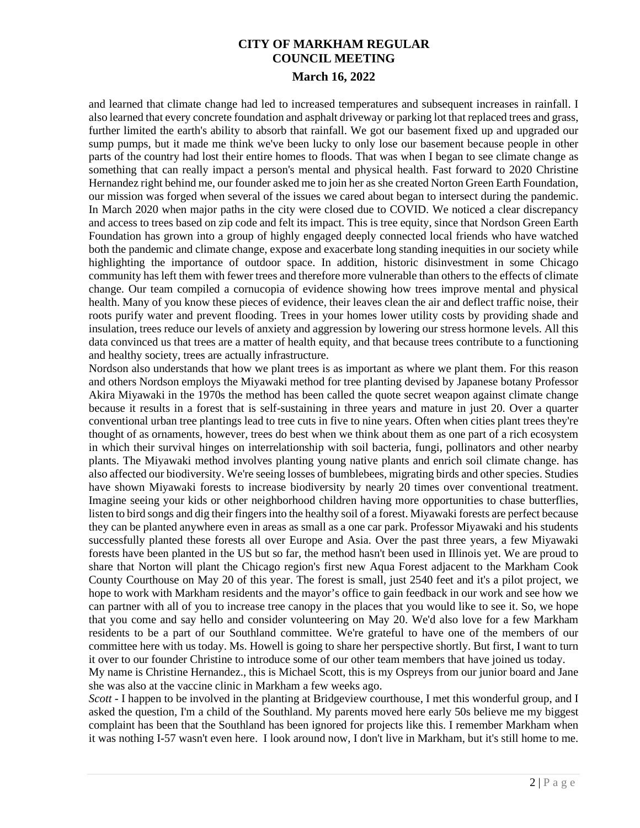and learned that climate change had led to increased temperatures and subsequent increases in rainfall. I also learned that every concrete foundation and asphalt driveway or parking lot that replaced trees and grass, further limited the earth's ability to absorb that rainfall. We got our basement fixed up and upgraded our sump pumps, but it made me think we've been lucky to only lose our basement because people in other parts of the country had lost their entire homes to floods. That was when I began to see climate change as something that can really impact a person's mental and physical health. Fast forward to 2020 Christine Hernandez right behind me, our founder asked me to join her as she created Norton Green Earth Foundation, our mission was forged when several of the issues we cared about began to intersect during the pandemic. In March 2020 when major paths in the city were closed due to COVID. We noticed a clear discrepancy and access to trees based on zip code and felt its impact. This is tree equity, since that Nordson Green Earth Foundation has grown into a group of highly engaged deeply connected local friends who have watched both the pandemic and climate change, expose and exacerbate long standing inequities in our society while highlighting the importance of outdoor space. In addition, historic disinvestment in some Chicago community has left them with fewer trees and therefore more vulnerable than others to the effects of climate change. Our team compiled a cornucopia of evidence showing how trees improve mental and physical health. Many of you know these pieces of evidence, their leaves clean the air and deflect traffic noise, their roots purify water and prevent flooding. Trees in your homes lower utility costs by providing shade and insulation, trees reduce our levels of anxiety and aggression by lowering our stress hormone levels. All this data convinced us that trees are a matter of health equity, and that because trees contribute to a functioning and healthy society, trees are actually infrastructure.

Nordson also understands that how we plant trees is as important as where we plant them. For this reason and others Nordson employs the Miyawaki method for tree planting devised by Japanese botany Professor Akira Miyawaki in the 1970s the method has been called the quote secret weapon against climate change because it results in a forest that is self-sustaining in three years and mature in just 20. Over a quarter conventional urban tree plantings lead to tree cuts in five to nine years. Often when cities plant trees they're thought of as ornaments, however, trees do best when we think about them as one part of a rich ecosystem in which their survival hinges on interrelationship with soil bacteria, fungi, pollinators and other nearby plants. The Miyawaki method involves planting young native plants and enrich soil climate change. has also affected our biodiversity. We're seeing losses of bumblebees, migrating birds and other species. Studies have shown Miyawaki forests to increase biodiversity by nearly 20 times over conventional treatment. Imagine seeing your kids or other neighborhood children having more opportunities to chase butterflies, listen to bird songs and dig their fingers into the healthy soil of a forest. Miyawaki forests are perfect because they can be planted anywhere even in areas as small as a one car park. Professor Miyawaki and his students successfully planted these forests all over Europe and Asia. Over the past three years, a few Miyawaki forests have been planted in the US but so far, the method hasn't been used in Illinois yet. We are proud to share that Norton will plant the Chicago region's first new Aqua Forest adjacent to the Markham Cook County Courthouse on May 20 of this year. The forest is small, just 2540 feet and it's a pilot project, we hope to work with Markham residents and the mayor's office to gain feedback in our work and see how we can partner with all of you to increase tree canopy in the places that you would like to see it. So, we hope that you come and say hello and consider volunteering on May 20. We'd also love for a few Markham residents to be a part of our Southland committee. We're grateful to have one of the members of our committee here with us today. Ms. Howell is going to share her perspective shortly. But first, I want to turn it over to our founder Christine to introduce some of our other team members that have joined us today.

My name is Christine Hernandez., this is Michael Scott, this is my Ospreys from our junior board and Jane she was also at the vaccine clinic in Markham a few weeks ago.

*Scott -* I happen to be involved in the planting at Bridgeview courthouse, I met this wonderful group, and I asked the question, I'm a child of the Southland. My parents moved here early 50s believe me my biggest complaint has been that the Southland has been ignored for projects like this. I remember Markham when it was nothing I-57 wasn't even here. I look around now, I don't live in Markham, but it's still home to me.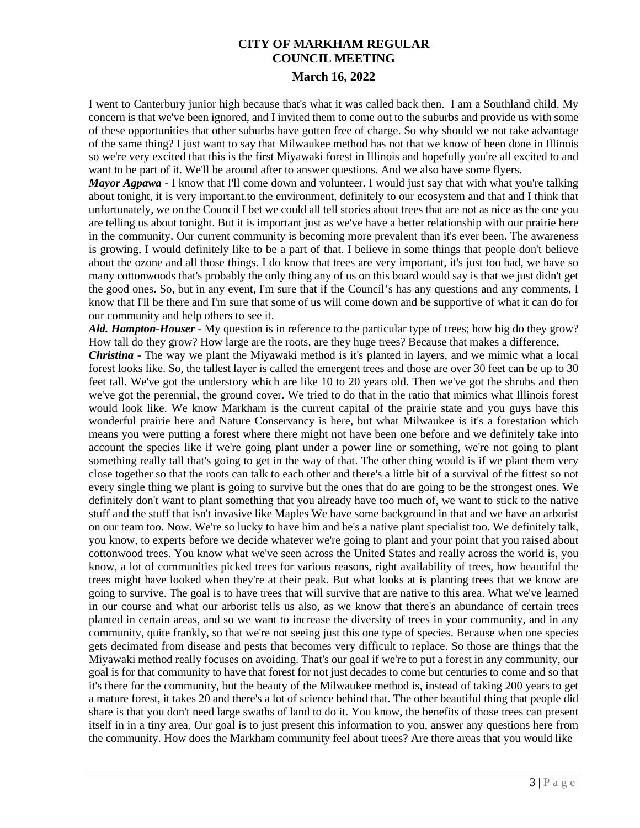I went to Canterbury junior high because that's what it was called back then. I am a Southland child. My concern is that we've been ignored, and I invited them to come out to the suburbs and provide us with some of these opportunities that other suburbs have gotten free of charge. So why should we not take advantage of the same thing? I just want to say that Milwaukee method has not that we know of been done in Illinois so we're very excited that this is the first Miyawaki forest in Illinois and hopefully you're all excited to and want to be part of it. We'll be around after to answer questions. And we also have some flyers.

*Mayor Agpawa* - I know that I'll come down and volunteer. I would just say that with what you're talking about tonight, it is very important.to the environment, definitely to our ecosystem and that and I think that unfortunately, we on the Council I bet we could all tell stories about trees that are not as nice as the one you are telling us about tonight. But it is important just as we've have a better relationship with our prairie here in the community. Our current community is becoming more prevalent than it's ever been. The awareness is growing, I would definitely like to be a part of that. I believe in some things that people don't believe about the ozone and all those things. I do know that trees are very important, it's just too bad, we have so many cottonwoods that's probably the only thing any of us on this board would say is that we just didn't get the good ones. So, but in any event, I'm sure that if the Council's has any questions and any comments, I know that I'll be there and I'm sure that some of us will come down and be supportive of what it can do for our community and help others to see it.

*Ald. Hampton-Houser* - My question is in reference to the particular type of trees; how big do they grow? How tall do they grow? How large are the roots, are they huge trees? Because that makes a difference,

*Christina* - The way we plant the Miyawaki method is it's planted in layers, and we mimic what a local forest looks like. So, the tallest layer is called the emergent trees and those are over 30 feet can be up to 30 feet tall. We've got the understory which are like 10 to 20 years old. Then we've got the shrubs and then we've got the perennial, the ground cover. We tried to do that in the ratio that mimics what Illinois forest would look like. We know Markham is the current capital of the prairie state and you guys have this wonderful prairie here and Nature Conservancy is here, but what Milwaukee is it's a forestation which means you were putting a forest where there might not have been one before and we definitely take into account the species like if we're going plant under a power line or something, we're not going to plant something really tall that's going to get in the way of that. The other thing would is if we plant them very close together so that the roots can talk to each other and there's a little bit of a survival of the fittest so not every single thing we plant is going to survive but the ones that do are going to be the strongest ones. We definitely don't want to plant something that you already have too much of, we want to stick to the native stuff and the stuff that isn't invasive like Maples We have some background in that and we have an arborist on our team too. Now. We're so lucky to have him and he's a native plant specialist too. We definitely talk, you know, to experts before we decide whatever we're going to plant and your point that you raised about cottonwood trees. You know what we've seen across the United States and really across the world is, you know, a lot of communities picked trees for various reasons, right availability of trees, how beautiful the trees might have looked when they're at their peak. But what looks at is planting trees that we know are going to survive. The goal is to have trees that will survive that are native to this area. What we've learned in our course and what our arborist tells us also, as we know that there's an abundance of certain trees planted in certain areas, and so we want to increase the diversity of trees in your community, and in any community, quite frankly, so that we're not seeing just this one type of species. Because when one species gets decimated from disease and pests that becomes very difficult to replace. So those are things that the Miyawaki method really focuses on avoiding. That's our goal if we're to put a forest in any community, our goal is for that community to have that forest for not just decades to come but centuries to come and so that it's there for the community, but the beauty of the Milwaukee method is, instead of taking 200 years to get a mature forest, it takes 20 and there's a lot of science behind that. The other beautiful thing that people did share is that you don't need large swaths of land to do it. You know, the benefits of those trees can present itself in in a tiny area. Our goal is to just present this information to you, answer any questions here from the community. How does the Markham community feel about trees? Are there areas that you would like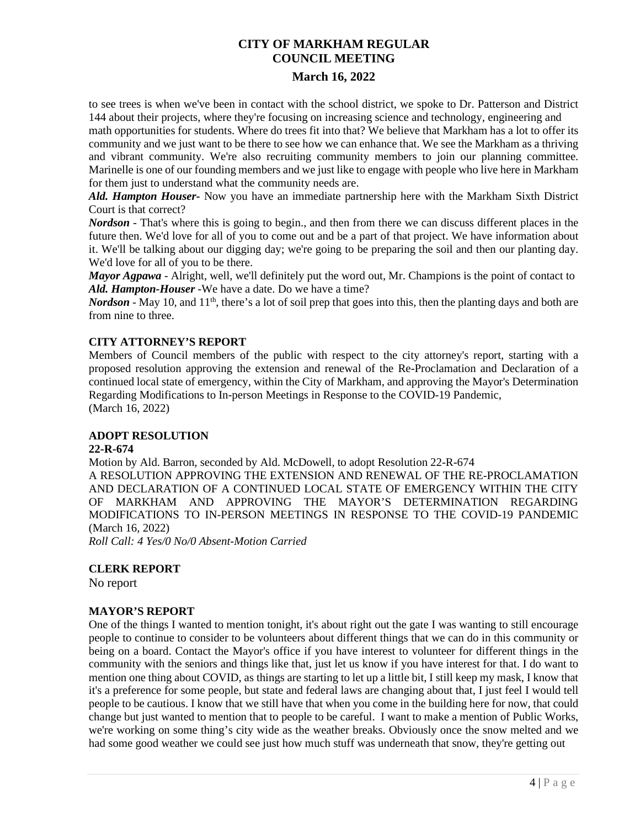to see trees is when we've been in contact with the school district, we spoke to Dr. Patterson and District 144 about their projects, where they're focusing on increasing science and technology, engineering and math opportunities for students. Where do trees fit into that? We believe that Markham has a lot to offer its community and we just want to be there to see how we can enhance that. We see the Markham as a thriving and vibrant community. We're also recruiting community members to join our planning committee. Marinelle is one of our founding members and we just like to engage with people who live here in Markham for them just to understand what the community needs are.

*Ald. Hampton Houser***-** Now you have an immediate partnership here with the Markham Sixth District Court is that correct?

*Nordson* - That's where this is going to begin., and then from there we can discuss different places in the future then. We'd love for all of you to come out and be a part of that project. We have information about it. We'll be talking about our digging day; we're going to be preparing the soil and then our planting day. We'd love for all of you to be there.

*Mayor Agpawa* - Alright, well, we'll definitely put the word out, Mr. Champions is the point of contact to *Ald. Hampton-Houser* -We have a date. Do we have a time?

*Nordson* - May 10, and  $11<sup>th</sup>$ , there's a lot of soil prep that goes into this, then the planting days and both are from nine to three.

### **CITY ATTORNEY'S REPORT**

Members of Council members of the public with respect to the city attorney's report, starting with a proposed resolution approving the extension and renewal of the Re-Proclamation and Declaration of a continued local state of emergency, within the City of Markham, and approving the Mayor's Determination Regarding Modifications to In-person Meetings in Response to the COVID-19 Pandemic, (March 16, 2022)

### **ADOPT RESOLUTION**

### **22-R-674**

Motion by Ald. Barron, seconded by Ald. McDowell, to adopt Resolution 22-R-674 A RESOLUTION APPROVING THE EXTENSION AND RENEWAL OF THE RE-PROCLAMATION AND DECLARATION OF A CONTINUED LOCAL STATE OF EMERGENCY WITHIN THE CITY OF MARKHAM AND APPROVING THE MAYOR'S DETERMINATION REGARDING MODIFICATIONS TO IN-PERSON MEETINGS IN RESPONSE TO THE COVID-19 PANDEMIC (March 16, 2022) *Roll Call: 4 Yes/0 No/0 Absent-Motion Carried* 

### **CLERK REPORT**

No report

### **MAYOR'S REPORT**

One of the things I wanted to mention tonight, it's about right out the gate I was wanting to still encourage people to continue to consider to be volunteers about different things that we can do in this community or being on a board. Contact the Mayor's office if you have interest to volunteer for different things in the community with the seniors and things like that, just let us know if you have interest for that. I do want to mention one thing about COVID, as things are starting to let up a little bit, I still keep my mask, I know that it's a preference for some people, but state and federal laws are changing about that, I just feel I would tell people to be cautious. I know that we still have that when you come in the building here for now, that could change but just wanted to mention that to people to be careful. I want to make a mention of Public Works, we're working on some thing's city wide as the weather breaks. Obviously once the snow melted and we had some good weather we could see just how much stuff was underneath that snow, they're getting out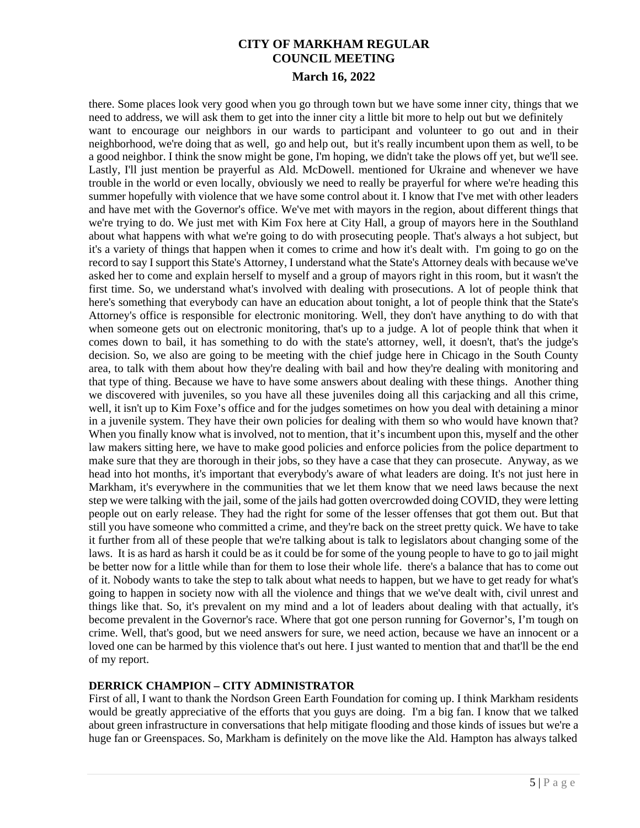there. Some places look very good when you go through town but we have some inner city, things that we need to address, we will ask them to get into the inner city a little bit more to help out but we definitely want to encourage our neighbors in our wards to participant and volunteer to go out and in their neighborhood, we're doing that as well, go and help out, but it's really incumbent upon them as well, to be a good neighbor. I think the snow might be gone, I'm hoping, we didn't take the plows off yet, but we'll see. Lastly, I'll just mention be prayerful as Ald. McDowell. mentioned for Ukraine and whenever we have trouble in the world or even locally, obviously we need to really be prayerful for where we're heading this summer hopefully with violence that we have some control about it. I know that I've met with other leaders and have met with the Governor's office. We've met with mayors in the region, about different things that we're trying to do. We just met with Kim Fox here at City Hall, a group of mayors here in the Southland about what happens with what we're going to do with prosecuting people. That's always a hot subject, but it's a variety of things that happen when it comes to crime and how it's dealt with. I'm going to go on the record to say I support this State's Attorney, I understand what the State's Attorney deals with because we've asked her to come and explain herself to myself and a group of mayors right in this room, but it wasn't the first time. So, we understand what's involved with dealing with prosecutions. A lot of people think that here's something that everybody can have an education about tonight, a lot of people think that the State's Attorney's office is responsible for electronic monitoring. Well, they don't have anything to do with that when someone gets out on electronic monitoring, that's up to a judge. A lot of people think that when it comes down to bail, it has something to do with the state's attorney, well, it doesn't, that's the judge's decision. So, we also are going to be meeting with the chief judge here in Chicago in the South County area, to talk with them about how they're dealing with bail and how they're dealing with monitoring and that type of thing. Because we have to have some answers about dealing with these things. Another thing we discovered with juveniles, so you have all these juveniles doing all this carjacking and all this crime, well, it isn't up to Kim Foxe's office and for the judges sometimes on how you deal with detaining a minor in a juvenile system. They have their own policies for dealing with them so who would have known that? When you finally know what is involved, not to mention, that it's incumbent upon this, myself and the other law makers sitting here, we have to make good policies and enforce policies from the police department to make sure that they are thorough in their jobs, so they have a case that they can prosecute. Anyway, as we head into hot months, it's important that everybody's aware of what leaders are doing. It's not just here in Markham, it's everywhere in the communities that we let them know that we need laws because the next step we were talking with the jail, some of the jails had gotten overcrowded doing COVID, they were letting people out on early release. They had the right for some of the lesser offenses that got them out. But that still you have someone who committed a crime, and they're back on the street pretty quick. We have to take it further from all of these people that we're talking about is talk to legislators about changing some of the laws. It is as hard as harsh it could be as it could be for some of the young people to have to go to jail might be better now for a little while than for them to lose their whole life. there's a balance that has to come out of it. Nobody wants to take the step to talk about what needs to happen, but we have to get ready for what's going to happen in society now with all the violence and things that we we've dealt with, civil unrest and things like that. So, it's prevalent on my mind and a lot of leaders about dealing with that actually, it's become prevalent in the Governor's race. Where that got one person running for Governor's, I'm tough on crime. Well, that's good, but we need answers for sure, we need action, because we have an innocent or a loved one can be harmed by this violence that's out here. I just wanted to mention that and that'll be the end of my report.

## **DERRICK CHAMPION – CITY ADMINISTRATOR**

First of all, I want to thank the Nordson Green Earth Foundation for coming up. I think Markham residents would be greatly appreciative of the efforts that you guys are doing. I'm a big fan. I know that we talked about green infrastructure in conversations that help mitigate flooding and those kinds of issues but we're a huge fan or Greenspaces. So, Markham is definitely on the move like the Ald. Hampton has always talked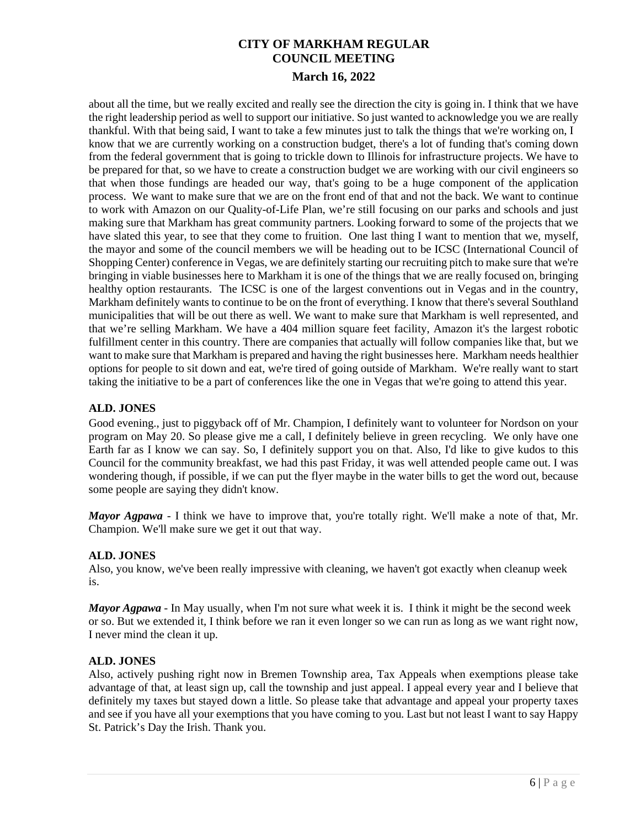about all the time, but we really excited and really see the direction the city is going in. I think that we have the right leadership period as well to support our initiative. So just wanted to acknowledge you we are really thankful. With that being said, I want to take a few minutes just to talk the things that we're working on, I know that we are currently working on a construction budget, there's a lot of funding that's coming down from the federal government that is going to trickle down to Illinois for infrastructure projects. We have to be prepared for that, so we have to create a construction budget we are working with our civil engineers so that when those fundings are headed our way, that's going to be a huge component of the application process. We want to make sure that we are on the front end of that and not the back. We want to continue to work with Amazon on our Quality-of-Life Plan, we're still focusing on our parks and schools and just making sure that Markham has great community partners. Looking forward to some of the projects that we have slated this year, to see that they come to fruition. One last thing I want to mention that we, myself, the mayor and some of the council members we will be heading out to be ICSC (International Council of Shopping Center) conference in Vegas, we are definitely starting our recruiting pitch to make sure that we're bringing in viable businesses here to Markham it is one of the things that we are really focused on, bringing healthy option restaurants. The ICSC is one of the largest conventions out in Vegas and in the country, Markham definitely wants to continue to be on the front of everything. I know that there's several Southland municipalities that will be out there as well. We want to make sure that Markham is well represented, and that we're selling Markham. We have a 404 million square feet facility, Amazon it's the largest robotic fulfillment center in this country. There are companies that actually will follow companies like that, but we want to make sure that Markham is prepared and having the right businesses here. Markham needs healthier options for people to sit down and eat, we're tired of going outside of Markham. We're really want to start taking the initiative to be a part of conferences like the one in Vegas that we're going to attend this year.

## **ALD. JONES**

Good evening., just to piggyback off of Mr. Champion, I definitely want to volunteer for Nordson on your program on May 20. So please give me a call, I definitely believe in green recycling. We only have one Earth far as I know we can say. So, I definitely support you on that. Also, I'd like to give kudos to this Council for the community breakfast, we had this past Friday, it was well attended people came out. I was wondering though, if possible, if we can put the flyer maybe in the water bills to get the word out, because some people are saying they didn't know.

*Mayor Agpawa* - I think we have to improve that, you're totally right. We'll make a note of that, Mr. Champion. We'll make sure we get it out that way.

## **ALD. JONES**

Also, you know, we've been really impressive with cleaning, we haven't got exactly when cleanup week is.

*Mayor Agpawa* - In May usually, when I'm not sure what week it is. I think it might be the second week or so. But we extended it, I think before we ran it even longer so we can run as long as we want right now, I never mind the clean it up.

## **ALD. JONES**

Also, actively pushing right now in Bremen Township area, Tax Appeals when exemptions please take advantage of that, at least sign up, call the township and just appeal. I appeal every year and I believe that definitely my taxes but stayed down a little. So please take that advantage and appeal your property taxes and see if you have all your exemptions that you have coming to you. Last but not least I want to say Happy St. Patrick's Day the Irish. Thank you.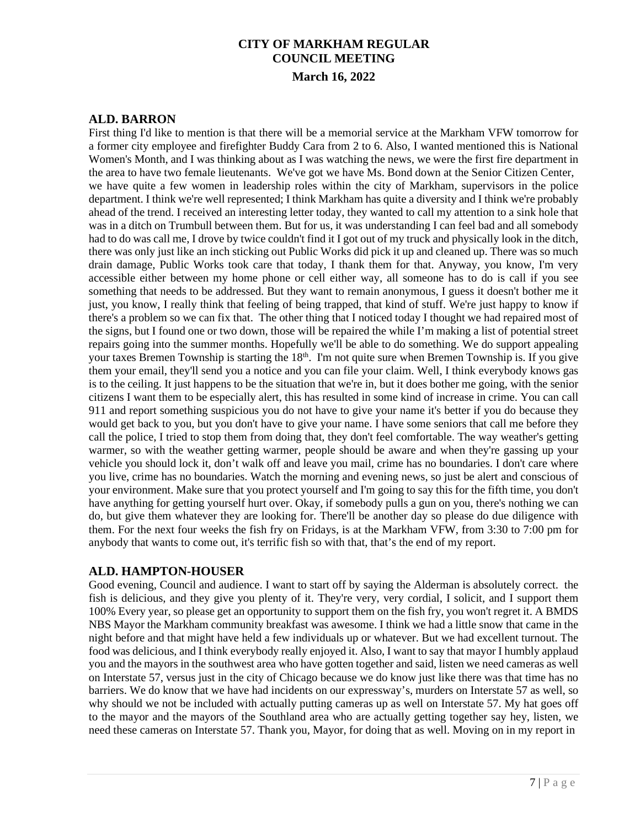## **ALD. BARRON**

First thing I'd like to mention is that there will be a memorial service at the Markham VFW tomorrow for a former city employee and firefighter Buddy Cara from 2 to 6. Also, I wanted mentioned this is National Women's Month, and I was thinking about as I was watching the news, we were the first fire department in the area to have two female lieutenants. We've got we have Ms. Bond down at the Senior Citizen Center, we have quite a few women in leadership roles within the city of Markham, supervisors in the police department. I think we're well represented; I think Markham has quite a diversity and I think we're probably ahead of the trend. I received an interesting letter today, they wanted to call my attention to a sink hole that was in a ditch on Trumbull between them. But for us, it was understanding I can feel bad and all somebody had to do was call me, I drove by twice couldn't find it I got out of my truck and physically look in the ditch, there was only just like an inch sticking out Public Works did pick it up and cleaned up. There was so much drain damage, Public Works took care that today, I thank them for that. Anyway, you know, I'm very accessible either between my home phone or cell either way, all someone has to do is call if you see something that needs to be addressed. But they want to remain anonymous, I guess it doesn't bother me it just, you know, I really think that feeling of being trapped, that kind of stuff. We're just happy to know if there's a problem so we can fix that. The other thing that I noticed today I thought we had repaired most of the signs, but I found one or two down, those will be repaired the while I'm making a list of potential street repairs going into the summer months. Hopefully we'll be able to do something. We do support appealing your taxes Bremen Township is starting the  $18<sup>th</sup>$ . I'm not quite sure when Bremen Township is. If you give them your email, they'll send you a notice and you can file your claim. Well, I think everybody knows gas is to the ceiling. It just happens to be the situation that we're in, but it does bother me going, with the senior citizens I want them to be especially alert, this has resulted in some kind of increase in crime. You can call 911 and report something suspicious you do not have to give your name it's better if you do because they would get back to you, but you don't have to give your name. I have some seniors that call me before they call the police, I tried to stop them from doing that, they don't feel comfortable. The way weather's getting warmer, so with the weather getting warmer, people should be aware and when they're gassing up your vehicle you should lock it, don't walk off and leave you mail, crime has no boundaries. I don't care where you live, crime has no boundaries. Watch the morning and evening news, so just be alert and conscious of your environment. Make sure that you protect yourself and I'm going to say this for the fifth time, you don't have anything for getting yourself hurt over. Okay, if somebody pulls a gun on you, there's nothing we can do, but give them whatever they are looking for. There'll be another day so please do due diligence with them. For the next four weeks the fish fry on Fridays, is at the Markham VFW, from 3:30 to 7:00 pm for anybody that wants to come out, it's terrific fish so with that, that's the end of my report.

## **ALD. HAMPTON-HOUSER**

Good evening, Council and audience. I want to start off by saying the Alderman is absolutely correct. the fish is delicious, and they give you plenty of it. They're very, very cordial, I solicit, and I support them 100% Every year, so please get an opportunity to support them on the fish fry, you won't regret it. A BMDS NBS Mayor the Markham community breakfast was awesome. I think we had a little snow that came in the night before and that might have held a few individuals up or whatever. But we had excellent turnout. The food was delicious, and I think everybody really enjoyed it. Also, I want to say that mayor I humbly applaud you and the mayors in the southwest area who have gotten together and said, listen we need cameras as well on Interstate 57, versus just in the city of Chicago because we do know just like there was that time has no barriers. We do know that we have had incidents on our expressway's, murders on Interstate 57 as well, so why should we not be included with actually putting cameras up as well on Interstate 57. My hat goes off to the mayor and the mayors of the Southland area who are actually getting together say hey, listen, we need these cameras on Interstate 57. Thank you, Mayor, for doing that as well. Moving on in my report in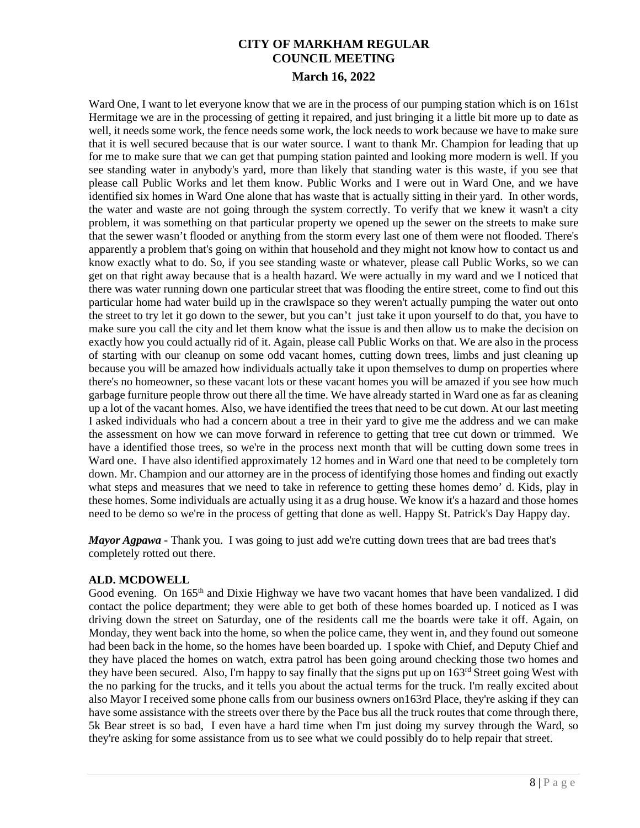Ward One, I want to let everyone know that we are in the process of our pumping station which is on 161st Hermitage we are in the processing of getting it repaired, and just bringing it a little bit more up to date as well, it needs some work, the fence needs some work, the lock needs to work because we have to make sure that it is well secured because that is our water source. I want to thank Mr. Champion for leading that up for me to make sure that we can get that pumping station painted and looking more modern is well. If you see standing water in anybody's yard, more than likely that standing water is this waste, if you see that please call Public Works and let them know. Public Works and I were out in Ward One, and we have identified six homes in Ward One alone that has waste that is actually sitting in their yard. In other words, the water and waste are not going through the system correctly. To verify that we knew it wasn't a city problem, it was something on that particular property we opened up the sewer on the streets to make sure that the sewer wasn't flooded or anything from the storm every last one of them were not flooded. There's apparently a problem that's going on within that household and they might not know how to contact us and know exactly what to do. So, if you see standing waste or whatever, please call Public Works, so we can get on that right away because that is a health hazard. We were actually in my ward and we I noticed that there was water running down one particular street that was flooding the entire street, come to find out this particular home had water build up in the crawlspace so they weren't actually pumping the water out onto the street to try let it go down to the sewer, but you can't just take it upon yourself to do that, you have to make sure you call the city and let them know what the issue is and then allow us to make the decision on exactly how you could actually rid of it. Again, please call Public Works on that. We are also in the process of starting with our cleanup on some odd vacant homes, cutting down trees, limbs and just cleaning up because you will be amazed how individuals actually take it upon themselves to dump on properties where there's no homeowner, so these vacant lots or these vacant homes you will be amazed if you see how much garbage furniture people throw out there all the time. We have already started in Ward one as far as cleaning up a lot of the vacant homes. Also, we have identified the trees that need to be cut down. At our last meeting I asked individuals who had a concern about a tree in their yard to give me the address and we can make the assessment on how we can move forward in reference to getting that tree cut down or trimmed. We have a identified those trees, so we're in the process next month that will be cutting down some trees in Ward one. I have also identified approximately 12 homes and in Ward one that need to be completely torn down. Mr. Champion and our attorney are in the process of identifying those homes and finding out exactly what steps and measures that we need to take in reference to getting these homes demo' d. Kids, play in these homes. Some individuals are actually using it as a drug house. We know it's a hazard and those homes need to be demo so we're in the process of getting that done as well. Happy St. Patrick's Day Happy day.

*Mayor Agpawa* - Thank you. I was going to just add we're cutting down trees that are bad trees that's completely rotted out there.

### **ALD. MCDOWELL**

Good evening. On 165<sup>th</sup> and Dixie Highway we have two vacant homes that have been vandalized. I did contact the police department; they were able to get both of these homes boarded up. I noticed as I was driving down the street on Saturday, one of the residents call me the boards were take it off. Again, on Monday, they went back into the home, so when the police came, they went in, and they found out someone had been back in the home, so the homes have been boarded up. I spoke with Chief, and Deputy Chief and they have placed the homes on watch, extra patrol has been going around checking those two homes and they have been secured. Also, I'm happy to say finally that the signs put up on 163rd Street going West with the no parking for the trucks, and it tells you about the actual terms for the truck. I'm really excited about also Mayor I received some phone calls from our business owners on163rd Place, they're asking if they can have some assistance with the streets over there by the Pace bus all the truck routes that come through there, 5k Bear street is so bad, I even have a hard time when I'm just doing my survey through the Ward, so they're asking for some assistance from us to see what we could possibly do to help repair that street.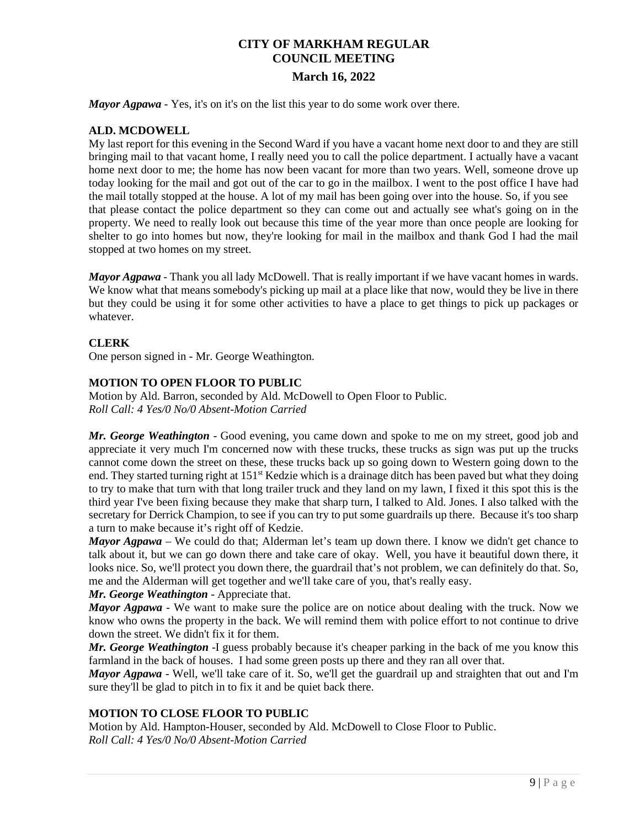*Mayor Agpawa* - Yes, it's on it's on the list this year to do some work over there.

## **ALD. MCDOWELL**

My last report for this evening in the Second Ward if you have a vacant home next door to and they are still bringing mail to that vacant home, I really need you to call the police department. I actually have a vacant home next door to me; the home has now been vacant for more than two years. Well, someone drove up today looking for the mail and got out of the car to go in the mailbox. I went to the post office I have had the mail totally stopped at the house. A lot of my mail has been going over into the house. So, if you see that please contact the police department so they can come out and actually see what's going on in the property. We need to really look out because this time of the year more than once people are looking for shelter to go into homes but now, they're looking for mail in the mailbox and thank God I had the mail stopped at two homes on my street.

*Mayor Agpawa* - Thank you all lady McDowell. That is really important if we have vacant homes in wards. We know what that means somebody's picking up mail at a place like that now, would they be live in there but they could be using it for some other activities to have a place to get things to pick up packages or whatever.

### **CLERK**

One person signed in - Mr. George Weathington.

### **MOTION TO OPEN FLOOR TO PUBLIC**

Motion by Ald. Barron, seconded by Ald. McDowell to Open Floor to Public. *Roll Call: 4 Yes/0 No/0 Absent-Motion Carried*

*Mr. George Weathington* - Good evening, you came down and spoke to me on my street, good job and appreciate it very much I'm concerned now with these trucks, these trucks as sign was put up the trucks cannot come down the street on these, these trucks back up so going down to Western going down to the end. They started turning right at 151st Kedzie which is a drainage ditch has been paved but what they doing to try to make that turn with that long trailer truck and they land on my lawn, I fixed it this spot this is the third year I've been fixing because they make that sharp turn, I talked to Ald. Jones. I also talked with the secretary for Derrick Champion, to see if you can try to put some guardrails up there. Because it's too sharp a turn to make because it's right off of Kedzie.

*Mayor Agpawa* – We could do that; Alderman let's team up down there. I know we didn't get chance to talk about it, but we can go down there and take care of okay. Well, you have it beautiful down there, it looks nice. So, we'll protect you down there, the guardrail that's not problem, we can definitely do that. So, me and the Alderman will get together and we'll take care of you, that's really easy.

### *Mr. George Weathington* - Appreciate that.

*Mayor Agpawa* - We want to make sure the police are on notice about dealing with the truck. Now we know who owns the property in the back. We will remind them with police effort to not continue to drive down the street. We didn't fix it for them.

*Mr. George Weathington* -I guess probably because it's cheaper parking in the back of me you know this farmland in the back of houses. I had some green posts up there and they ran all over that.

*Mayor Agpawa* - Well, we'll take care of it. So, we'll get the guardrail up and straighten that out and I'm sure they'll be glad to pitch in to fix it and be quiet back there.

### **MOTION TO CLOSE FLOOR TO PUBLIC**

Motion by Ald. Hampton-Houser, seconded by Ald. McDowell to Close Floor to Public. *Roll Call: 4 Yes/0 No/0 Absent-Motion Carried*